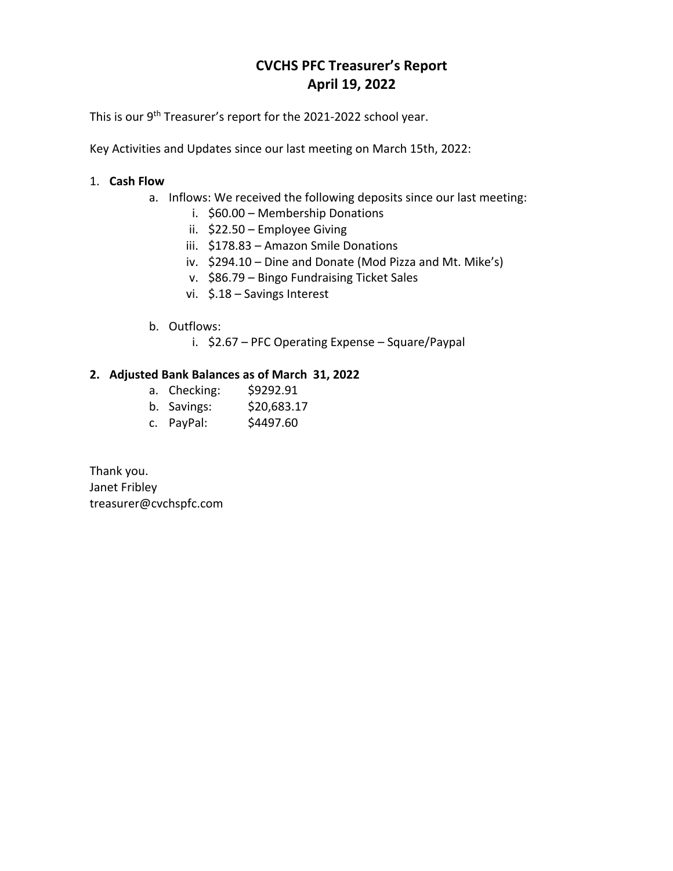## **CVCHS PFC Treasurer's Report April 19, 2022**

This is our 9<sup>th</sup> Treasurer's report for the 2021-2022 school year.

Key Activities and Updates since our last meeting on March 15th, 2022:

## 1. **Cash Flow**

- a. Inflows: We received the following deposits since our last meeting:
	- i. \$60.00 Membership Donations
	- ii. \$22.50 Employee Giving
	- iii. \$178.83 Amazon Smile Donations
	- iv. \$294.10 Dine and Donate (Mod Pizza and Mt. Mike's)
	- v. \$86.79 Bingo Fundraising Ticket Sales
	- vi. \$.18 Savings Interest
- b. Outflows:
	- i. \$2.67 PFC Operating Expense Square/Paypal

## **2. Adjusted Bank Balances as of March 31, 2022**

- a. Checking: \$9292.91
- b. Savings: \$20,683.17
- c. PayPal: \$4497.60

Thank you. Janet Fribley treasurer@cvchspfc.com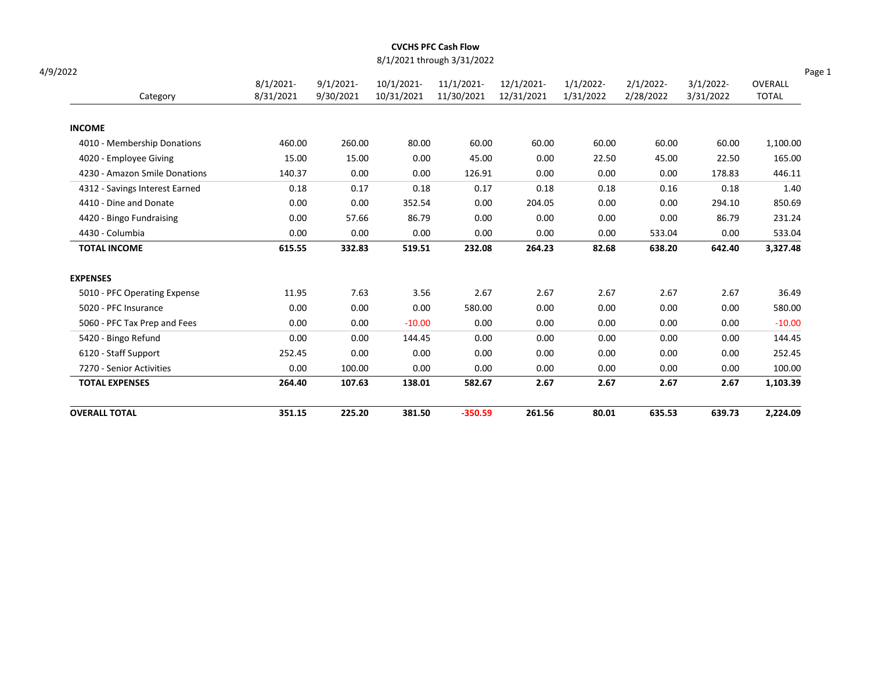|                                |                           |                           |                          | 8/1/2021 through 3/31/2022 |                          |                           |                           |                           |                                   |
|--------------------------------|---------------------------|---------------------------|--------------------------|----------------------------|--------------------------|---------------------------|---------------------------|---------------------------|-----------------------------------|
| 4/9/2022<br>Category           | $8/1/2021$ -<br>8/31/2021 | $9/1/2021$ -<br>9/30/2021 | 10/1/2021-<br>10/31/2021 | 11/1/2021-<br>11/30/2021   | 12/1/2021-<br>12/31/2021 | $1/1/2022$ -<br>1/31/2022 | $2/1/2022$ -<br>2/28/2022 | $3/1/2022$ -<br>3/31/2022 | Page 1<br>OVERALL<br><b>TOTAL</b> |
| <b>INCOME</b>                  |                           |                           |                          |                            |                          |                           |                           |                           |                                   |
| 4010 - Membership Donations    | 460.00                    | 260.00                    | 80.00                    | 60.00                      | 60.00                    | 60.00                     | 60.00                     | 60.00                     | 1,100.00                          |
| 4020 - Employee Giving         | 15.00                     | 15.00                     | 0.00                     | 45.00                      | 0.00                     | 22.50                     | 45.00                     | 22.50                     | 165.00                            |
| 4230 - Amazon Smile Donations  | 140.37                    | 0.00                      | 0.00                     | 126.91                     | 0.00                     | 0.00                      | 0.00                      | 178.83                    | 446.11                            |
| 4312 - Savings Interest Earned | 0.18                      | 0.17                      | 0.18                     | 0.17                       | 0.18                     | 0.18                      | 0.16                      | 0.18                      | 1.40                              |
| 4410 - Dine and Donate         | 0.00                      | 0.00                      | 352.54                   | 0.00                       | 204.05                   | 0.00                      | 0.00                      | 294.10                    | 850.69                            |
| 4420 - Bingo Fundraising       | 0.00                      | 57.66                     | 86.79                    | 0.00                       | 0.00                     | 0.00                      | 0.00                      | 86.79                     | 231.24                            |
| 4430 - Columbia                | 0.00                      | 0.00                      | 0.00                     | 0.00                       | 0.00                     | 0.00                      | 533.04                    | 0.00                      | 533.04                            |
| <b>TOTAL INCOME</b>            | 615.55                    | 332.83                    | 519.51                   | 232.08                     | 264.23                   | 82.68                     | 638.20                    | 642.40                    | 3,327.48                          |
| <b>EXPENSES</b>                |                           |                           |                          |                            |                          |                           |                           |                           |                                   |
| 5010 - PFC Operating Expense   | 11.95                     | 7.63                      | 3.56                     | 2.67                       | 2.67                     | 2.67                      | 2.67                      | 2.67                      | 36.49                             |
| 5020 - PFC Insurance           | 0.00                      | 0.00                      | 0.00                     | 580.00                     | 0.00                     | 0.00                      | 0.00                      | 0.00                      | 580.00                            |
| 5060 - PFC Tax Prep and Fees   | 0.00                      | 0.00                      | $-10.00$                 | 0.00                       | 0.00                     | 0.00                      | 0.00                      | 0.00                      | $-10.00$                          |
| 5420 - Bingo Refund            | 0.00                      | 0.00                      | 144.45                   | 0.00                       | 0.00                     | 0.00                      | 0.00                      | 0.00                      | 144.45                            |
| 6120 - Staff Support           | 252.45                    | 0.00                      | 0.00                     | 0.00                       | 0.00                     | 0.00                      | 0.00                      | 0.00                      | 252.45                            |
| 7270 - Senior Activities       | 0.00                      | 100.00                    | 0.00                     | 0.00                       | 0.00                     | 0.00                      | 0.00                      | 0.00                      | 100.00                            |
| <b>TOTAL EXPENSES</b>          | 264.40                    | 107.63                    | 138.01                   | 582.67                     | 2.67                     | 2.67                      | 2.67                      | 2.67                      | 1,103.39                          |
| <b>OVERALL TOTAL</b>           | 351.15                    | 225.20                    | 381.50                   | $-350.59$                  | 261.56                   | 80.01                     | 635.53                    | 639.73                    | 2,224.09                          |

CVCHS PFC Cash Flow